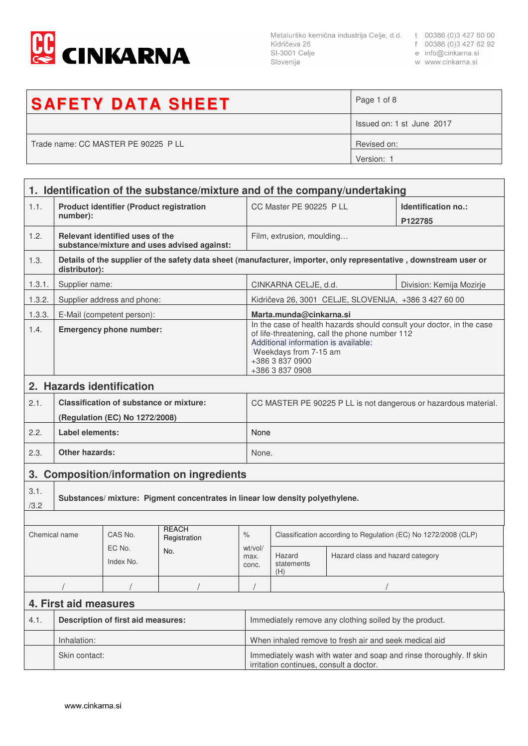

Metalurško kemična industrija Celje, d.d. t 00386 (0)3 427 60 00<br>Kidričeva 26 f 00386 (0)3 427 62 92<br>SI-3001 Celje e info@cinkarna.si<br>Slovenija w www.cinkarna.si Slovenija

- 
- 
- w www.cinkarna.si

| <b>SAFETY DATA SHEET</b>            | Page 1 of 8               |
|-------------------------------------|---------------------------|
|                                     | Issued on: 1 st June 2017 |
| Trade name: CC MASTER PE 90225 P LL | Revised on:               |
|                                     | Version: 1                |

|               |                                                                                                                               |                                                                                  | 1. Identification of the substance/mixture and of the company/undertaking |                                                                                                                                                                                                                                |                                                                |                                                       |                                                                                                                   |
|---------------|-------------------------------------------------------------------------------------------------------------------------------|----------------------------------------------------------------------------------|---------------------------------------------------------------------------|--------------------------------------------------------------------------------------------------------------------------------------------------------------------------------------------------------------------------------|----------------------------------------------------------------|-------------------------------------------------------|-------------------------------------------------------------------------------------------------------------------|
| 1.1.          | number):                                                                                                                      | <b>Product identifier (Product registration</b>                                  |                                                                           |                                                                                                                                                                                                                                | CC Master PE 90225 P LL                                        |                                                       | Identification no.:<br>P122785                                                                                    |
| 1.2.          | Relevant identified uses of the<br>substance/mixture and uses advised against:                                                |                                                                                  |                                                                           | Film, extrusion, moulding                                                                                                                                                                                                      |                                                                |                                                       |                                                                                                                   |
| 1.3.          | distributor):                                                                                                                 |                                                                                  |                                                                           |                                                                                                                                                                                                                                |                                                                |                                                       | Details of the supplier of the safety data sheet (manufacturer, importer, only representative, downstream user or |
| 1.3.1.        | Supplier name:                                                                                                                |                                                                                  |                                                                           |                                                                                                                                                                                                                                | CINKARNA CELJE, d.d.                                           |                                                       | Division: Kemija Mozirje                                                                                          |
| 1.3.2.        |                                                                                                                               | Supplier address and phone:                                                      |                                                                           |                                                                                                                                                                                                                                |                                                                | Kidričeva 26, 3001 CELJE, SLOVENIJA, +386 3 427 60 00 |                                                                                                                   |
| 1.3.3.        |                                                                                                                               |                                                                                  |                                                                           |                                                                                                                                                                                                                                | Marta.munda@cinkarna.si                                        |                                                       |                                                                                                                   |
| 1.4.          | E-Mail (competent person):<br><b>Emergency phone number:</b>                                                                  |                                                                                  |                                                                           | In the case of health hazards should consult your doctor, in the case<br>of life-threatening, call the phone number 112<br>Additional information is available:<br>Weekdays from 7-15 am<br>+386 3 837 0900<br>+386 3 837 0908 |                                                                |                                                       |                                                                                                                   |
|               |                                                                                                                               | 2. Hazards identification                                                        |                                                                           |                                                                                                                                                                                                                                |                                                                |                                                       |                                                                                                                   |
| 2.1.          |                                                                                                                               | <b>Classification of substance or mixture:</b><br>(Regulation (EC) No 1272/2008) |                                                                           |                                                                                                                                                                                                                                |                                                                |                                                       | CC MASTER PE 90225 P LL is not dangerous or hazardous material.                                                   |
| 2.2.          | Label elements:                                                                                                               |                                                                                  |                                                                           |                                                                                                                                                                                                                                | None                                                           |                                                       |                                                                                                                   |
| 2.3.          | <b>Other hazards:</b>                                                                                                         |                                                                                  |                                                                           |                                                                                                                                                                                                                                | None.                                                          |                                                       |                                                                                                                   |
| 3.            |                                                                                                                               |                                                                                  |                                                                           |                                                                                                                                                                                                                                |                                                                |                                                       |                                                                                                                   |
| 3.1.<br>/3.2  | <b>Composition/information on ingredients</b><br>Substances/mixture: Pigment concentrates in linear low density polyethylene. |                                                                                  |                                                                           |                                                                                                                                                                                                                                |                                                                |                                                       |                                                                                                                   |
|               |                                                                                                                               |                                                                                  |                                                                           |                                                                                                                                                                                                                                |                                                                |                                                       |                                                                                                                   |
| Chemical name |                                                                                                                               | CAS No.                                                                          | <b>REACH</b><br>Registration                                              | $\%$                                                                                                                                                                                                                           | Classification according to Regulation (EC) No 1272/2008 (CLP) |                                                       |                                                                                                                   |
|               |                                                                                                                               | EC No.<br>Index No.                                                              | No.                                                                       | wt/vol/<br>max.<br>conc.                                                                                                                                                                                                       | Hazard<br>statements<br>(H)                                    | Hazard class and hazard category                      |                                                                                                                   |
|               |                                                                                                                               |                                                                                  |                                                                           |                                                                                                                                                                                                                                |                                                                |                                                       |                                                                                                                   |
|               | 4. First aid measures                                                                                                         |                                                                                  |                                                                           |                                                                                                                                                                                                                                |                                                                |                                                       |                                                                                                                   |
| 4.1.          | <b>Description of first aid measures:</b>                                                                                     |                                                                                  |                                                                           | Immediately remove any clothing soiled by the product.                                                                                                                                                                         |                                                                |                                                       |                                                                                                                   |
|               | Inhalation:                                                                                                                   |                                                                                  |                                                                           | When inhaled remove to fresh air and seek medical aid                                                                                                                                                                          |                                                                |                                                       |                                                                                                                   |
|               | Skin contact:                                                                                                                 |                                                                                  |                                                                           | Immediately wash with water and soap and rinse thoroughly. If skin<br>irritation continues, consult a doctor.                                                                                                                  |                                                                |                                                       |                                                                                                                   |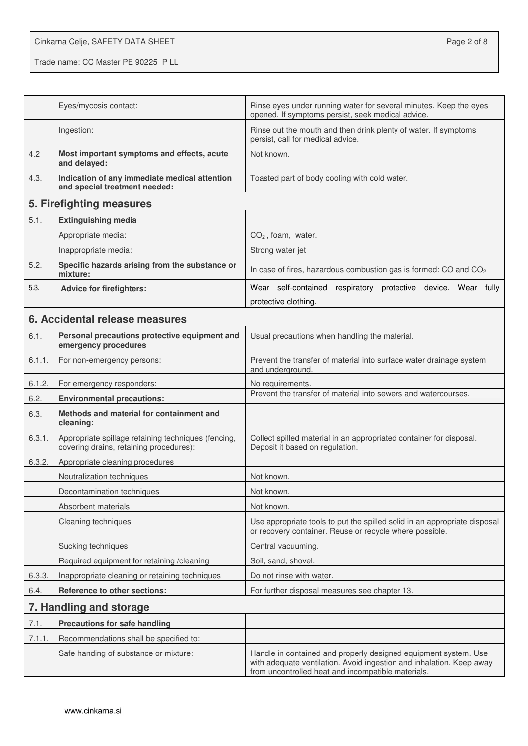Cinkarna Celje, SAFETY DATA SHEET **Page 2 of 8** Trade name: CC Master PE 90225 P LL

|        | Eyes/mycosis contact:                                                                          | Rinse eyes under running water for several minutes. Keep the eyes<br>opened. If symptoms persist, seek medical advice.                                                                        |
|--------|------------------------------------------------------------------------------------------------|-----------------------------------------------------------------------------------------------------------------------------------------------------------------------------------------------|
|        | Ingestion:                                                                                     | Rinse out the mouth and then drink plenty of water. If symptoms<br>persist, call for medical advice.                                                                                          |
| 4.2    | Most important symptoms and effects, acute<br>and delayed:                                     | Not known.                                                                                                                                                                                    |
| 4.3.   | Indication of any immediate medical attention<br>and special treatment needed:                 | Toasted part of body cooling with cold water.                                                                                                                                                 |
|        | 5. Firefighting measures                                                                       |                                                                                                                                                                                               |
| 5.1.   | <b>Extinguishing media</b>                                                                     |                                                                                                                                                                                               |
|        | Appropriate media:                                                                             | $CO2$ , foam, water.                                                                                                                                                                          |
|        | Inappropriate media:                                                                           | Strong water jet                                                                                                                                                                              |
| 5.2.   | Specific hazards arising from the substance or<br>mixture:                                     | In case of fires, hazardous combustion gas is formed: CO and CO <sub>2</sub>                                                                                                                  |
| 5.3.   | <b>Advice for firefighters:</b>                                                                | Wear self-contained respiratory protective device. Wear fully                                                                                                                                 |
|        |                                                                                                | protective clothing.                                                                                                                                                                          |
|        | 6. Accidental release measures                                                                 |                                                                                                                                                                                               |
| 6.1.   | Personal precautions protective equipment and<br>emergency procedures                          | Usual precautions when handling the material.                                                                                                                                                 |
| 6.1.1. | For non-emergency persons:                                                                     | Prevent the transfer of material into surface water drainage system<br>and underground.                                                                                                       |
| 6.1.2. | For emergency responders:                                                                      | No requirements.                                                                                                                                                                              |
| 6.2.   | <b>Environmental precautions:</b>                                                              | Prevent the transfer of material into sewers and watercourses.                                                                                                                                |
| 6.3.   | Methods and material for containment and<br>cleaning:                                          |                                                                                                                                                                                               |
| 6.3.1. | Appropriate spillage retaining techniques (fencing,<br>covering drains, retaining procedures): | Collect spilled material in an appropriated container for disposal.<br>Deposit it based on regulation.                                                                                        |
| 6.3.2. | Appropriate cleaning procedures                                                                |                                                                                                                                                                                               |
|        | Neutralization techniques                                                                      | Not known.                                                                                                                                                                                    |
|        | Decontamination techniques                                                                     | Not known.                                                                                                                                                                                    |
|        | Absorbent materials                                                                            | Not known.                                                                                                                                                                                    |
|        | Cleaning techniques                                                                            | Use appropriate tools to put the spilled solid in an appropriate disposal<br>or recovery container. Reuse or recycle where possible.                                                          |
|        | Sucking techniques                                                                             | Central vacuuming.                                                                                                                                                                            |
|        | Required equipment for retaining /cleaning                                                     | Soil, sand, shovel.                                                                                                                                                                           |
| 6.3.3. | Inappropriate cleaning or retaining techniques                                                 | Do not rinse with water.                                                                                                                                                                      |
| 6.4.   | <b>Reference to other sections:</b>                                                            | For further disposal measures see chapter 13.                                                                                                                                                 |
|        | 7. Handling and storage                                                                        |                                                                                                                                                                                               |
| 7.1.   | <b>Precautions for safe handling</b>                                                           |                                                                                                                                                                                               |
| 7.1.1. | Recommendations shall be specified to:                                                         |                                                                                                                                                                                               |
|        | Safe handing of substance or mixture:                                                          | Handle in contained and properly designed equipment system. Use<br>with adequate ventilation. Avoid ingestion and inhalation. Keep away<br>from uncontrolled heat and incompatible materials. |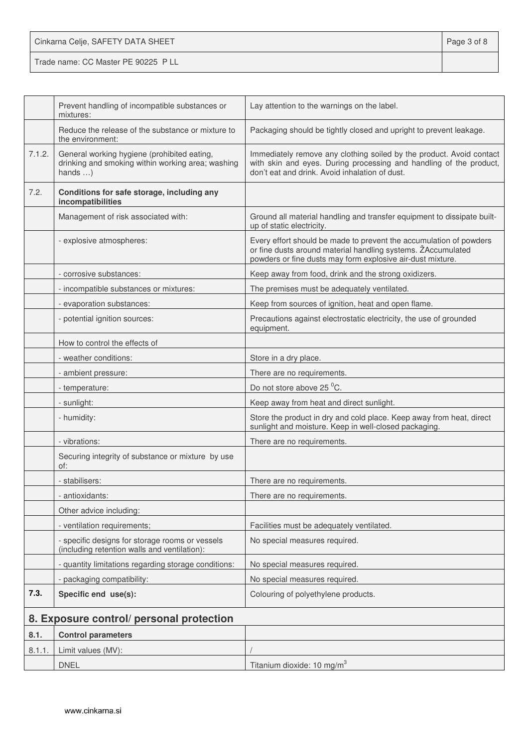| Cinkarna Celje, SAFETY DATA SHEET   | Page 3 of 8 |
|-------------------------------------|-------------|
| Trade name: CC Master PE 90225 P LL |             |

|        | Prevent handling of incompatible substances or<br>mixtures:                                                         | Lay attention to the warnings on the label.                                                                                                                                                      |
|--------|---------------------------------------------------------------------------------------------------------------------|--------------------------------------------------------------------------------------------------------------------------------------------------------------------------------------------------|
|        | Reduce the release of the substance or mixture to<br>the environment:                                               | Packaging should be tightly closed and upright to prevent leakage.                                                                                                                               |
| 7.1.2. | General working hygiene (prohibited eating,<br>drinking and smoking within working area; washing<br>hands $\dots$ ) | Immediately remove any clothing soiled by the product. Avoid contact<br>with skin and eyes. During processing and handling of the product,<br>don't eat and drink. Avoid inhalation of dust.     |
| 7.2.   | Conditions for safe storage, including any<br>incompatibilities                                                     |                                                                                                                                                                                                  |
|        | Management of risk associated with:                                                                                 | Ground all material handling and transfer equipment to dissipate built-<br>up of static electricity.                                                                                             |
|        | - explosive atmospheres:                                                                                            | Every effort should be made to prevent the accumulation of powders<br>or fine dusts around material handling systems. ŽAccumulated<br>powders or fine dusts may form explosive air-dust mixture. |
|        | - corrosive substances:                                                                                             | Keep away from food, drink and the strong oxidizers.                                                                                                                                             |
|        | - incompatible substances or mixtures:                                                                              | The premises must be adequately ventilated.                                                                                                                                                      |
|        | - evaporation substances:                                                                                           | Keep from sources of ignition, heat and open flame.                                                                                                                                              |
|        | - potential ignition sources:                                                                                       | Precautions against electrostatic electricity, the use of grounded<br>equipment.                                                                                                                 |
|        | How to control the effects of                                                                                       |                                                                                                                                                                                                  |
|        | - weather conditions:                                                                                               | Store in a dry place.                                                                                                                                                                            |
|        | - ambient pressure:                                                                                                 | There are no requirements.                                                                                                                                                                       |
|        | - temperature:                                                                                                      | Do not store above 25 °C.                                                                                                                                                                        |
|        | - sunlight:                                                                                                         | Keep away from heat and direct sunlight.                                                                                                                                                         |
|        | - humidity:                                                                                                         | Store the product in dry and cold place. Keep away from heat, direct<br>sunlight and moisture. Keep in well-closed packaging.                                                                    |
|        | - vibrations:                                                                                                       | There are no requirements.                                                                                                                                                                       |
|        | Securing integrity of substance or mixture by use<br>of:                                                            |                                                                                                                                                                                                  |
|        | - stabilisers:                                                                                                      | There are no requirements.                                                                                                                                                                       |
|        | - antioxidants:                                                                                                     | There are no requirements.                                                                                                                                                                       |
|        | Other advice including:                                                                                             |                                                                                                                                                                                                  |
|        | - ventilation requirements;                                                                                         | Facilities must be adequately ventilated.                                                                                                                                                        |
|        | - specific designs for storage rooms or vessels<br>(including retention walls and ventilation):                     | No special measures required.                                                                                                                                                                    |
|        | - quantity limitations regarding storage conditions:                                                                | No special measures required.                                                                                                                                                                    |
|        | - packaging compatibility:                                                                                          | No special measures required.                                                                                                                                                                    |
| 7.3.   | Specific end use(s):                                                                                                | Colouring of polyethylene products.                                                                                                                                                              |
|        | 8. Exposure control/ personal protection                                                                            |                                                                                                                                                                                                  |
| 8.1.   | <b>Control parameters</b>                                                                                           |                                                                                                                                                                                                  |
| 8.1.1. | Limit values (MV):                                                                                                  |                                                                                                                                                                                                  |
|        | <b>DNEL</b>                                                                                                         | Titanium dioxide: 10 mg/m <sup>3</sup>                                                                                                                                                           |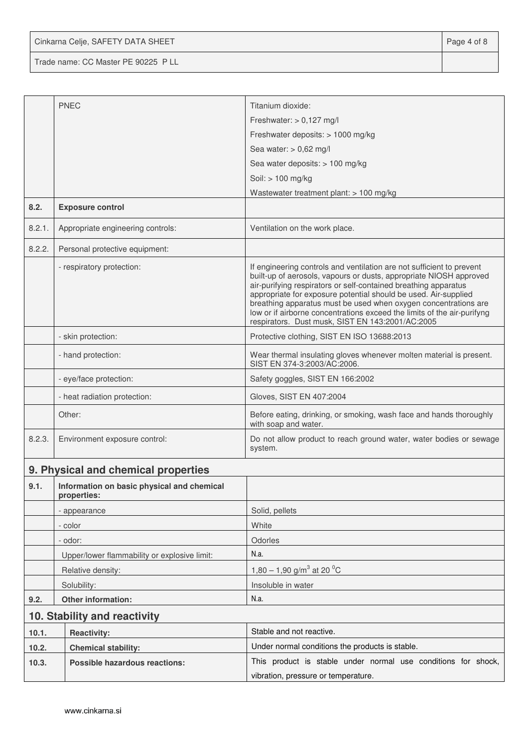Cinkarna Celje, SAFETY DATA SHEET **Page 4 of 8** 

Trade name: CC Master PE 90225 P LL

|        | <b>PNEC</b>                                               | Titanium dioxide:                                                                                                                                                                                                                                                                                                                                                                                                                                                                   |
|--------|-----------------------------------------------------------|-------------------------------------------------------------------------------------------------------------------------------------------------------------------------------------------------------------------------------------------------------------------------------------------------------------------------------------------------------------------------------------------------------------------------------------------------------------------------------------|
|        |                                                           | Freshwater: $> 0,127$ mg/l                                                                                                                                                                                                                                                                                                                                                                                                                                                          |
|        |                                                           | Freshwater deposits: > 1000 mg/kg                                                                                                                                                                                                                                                                                                                                                                                                                                                   |
|        |                                                           | Sea water: $> 0.62$ mg/l                                                                                                                                                                                                                                                                                                                                                                                                                                                            |
|        |                                                           | Sea water deposits: > 100 mg/kg                                                                                                                                                                                                                                                                                                                                                                                                                                                     |
|        |                                                           | Soil: > 100 mg/kg                                                                                                                                                                                                                                                                                                                                                                                                                                                                   |
|        |                                                           | Wastewater treatment plant: > 100 mg/kg                                                                                                                                                                                                                                                                                                                                                                                                                                             |
| 8.2.   | <b>Exposure control</b>                                   |                                                                                                                                                                                                                                                                                                                                                                                                                                                                                     |
| 8.2.1. | Appropriate engineering controls:                         | Ventilation on the work place.                                                                                                                                                                                                                                                                                                                                                                                                                                                      |
| 8.2.2. | Personal protective equipment:                            |                                                                                                                                                                                                                                                                                                                                                                                                                                                                                     |
|        | - respiratory protection:                                 | If engineering controls and ventilation are not sufficient to prevent<br>built-up of aerosols, vapours or dusts, appropriate NIOSH approved<br>air-purifying respirators or self-contained breathing apparatus<br>appropriate for exposure potential should be used. Air-supplied<br>breathing apparatus must be used when oxygen concentrations are<br>low or if airborne concentrations exceed the limits of the air-purifyng<br>respirators. Dust musk, SIST EN 143:2001/AC:2005 |
|        | - skin protection:                                        | Protective clothing, SIST EN ISO 13688:2013                                                                                                                                                                                                                                                                                                                                                                                                                                         |
|        | - hand protection:                                        | Wear thermal insulating gloves whenever molten material is present.<br>SIST EN 374-3:2003/AC:2006.                                                                                                                                                                                                                                                                                                                                                                                  |
|        | - eye/face protection:                                    | Safety goggles, SIST EN 166:2002                                                                                                                                                                                                                                                                                                                                                                                                                                                    |
|        | - heat radiation protection:                              | Gloves, SIST EN 407:2004                                                                                                                                                                                                                                                                                                                                                                                                                                                            |
|        | Other:                                                    | Before eating, drinking, or smoking, wash face and hands thoroughly<br>with soap and water.                                                                                                                                                                                                                                                                                                                                                                                         |
| 8.2.3. | Environment exposure control:                             | Do not allow product to reach ground water, water bodies or sewage<br>system.                                                                                                                                                                                                                                                                                                                                                                                                       |
|        | 9. Physical and chemical properties                       |                                                                                                                                                                                                                                                                                                                                                                                                                                                                                     |
| 9.1.   | Information on basic physical and chemical<br>properties: |                                                                                                                                                                                                                                                                                                                                                                                                                                                                                     |
|        | - appearance                                              | Solid, pellets                                                                                                                                                                                                                                                                                                                                                                                                                                                                      |
|        | - color                                                   | White                                                                                                                                                                                                                                                                                                                                                                                                                                                                               |
|        | - odor:                                                   | Odorles                                                                                                                                                                                                                                                                                                                                                                                                                                                                             |
|        | Upper/lower flammability or explosive limit:              | N.a.                                                                                                                                                                                                                                                                                                                                                                                                                                                                                |
|        | Relative density:                                         | 1,80 – 1,90 g/m <sup>3</sup> at 20 <sup>o</sup> C                                                                                                                                                                                                                                                                                                                                                                                                                                   |
|        | Solubility:                                               | Insoluble in water                                                                                                                                                                                                                                                                                                                                                                                                                                                                  |
| 9.2.   | Other information:                                        | N.a.                                                                                                                                                                                                                                                                                                                                                                                                                                                                                |
|        | 10. Stability and reactivity                              |                                                                                                                                                                                                                                                                                                                                                                                                                                                                                     |
| 10.1.  | <b>Reactivity:</b>                                        | Stable and not reactive.                                                                                                                                                                                                                                                                                                                                                                                                                                                            |
| 10.2.  | <b>Chemical stability:</b>                                | Under normal conditions the products is stable.                                                                                                                                                                                                                                                                                                                                                                                                                                     |
| 10.3.  | <b>Possible hazardous reactions:</b>                      | This product is stable under normal use conditions for shock,                                                                                                                                                                                                                                                                                                                                                                                                                       |
|        |                                                           | vibration, pressure or temperature.                                                                                                                                                                                                                                                                                                                                                                                                                                                 |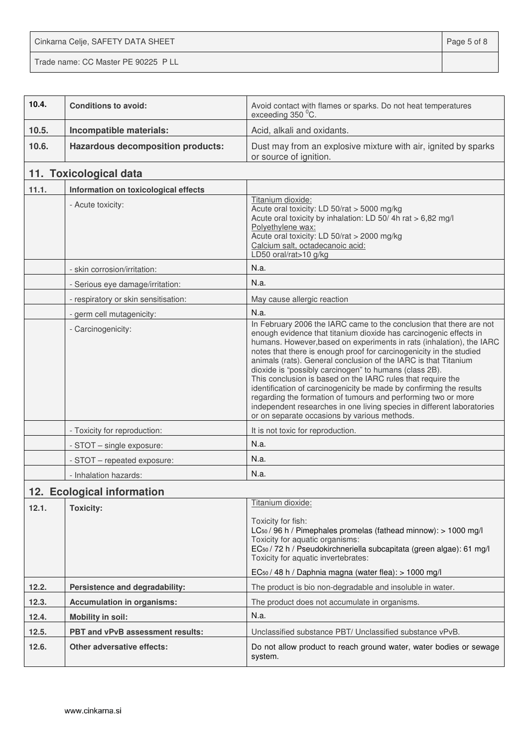Cinkarna Celje, SAFETY DATA SHEET **Page 5 of 8** Trade name: CC Master PE 90225 P LL

| 10.4. | <b>Conditions to avoid:</b>              | Avoid contact with flames or sparks. Do not heat temperatures<br>exceeding 350 °C.                                                                                                                                                                                                                                                                                                                                                                                                                                                                                                                                                                                                                                                                    |
|-------|------------------------------------------|-------------------------------------------------------------------------------------------------------------------------------------------------------------------------------------------------------------------------------------------------------------------------------------------------------------------------------------------------------------------------------------------------------------------------------------------------------------------------------------------------------------------------------------------------------------------------------------------------------------------------------------------------------------------------------------------------------------------------------------------------------|
| 10.5. | Incompatible materials:                  | Acid, alkali and oxidants.                                                                                                                                                                                                                                                                                                                                                                                                                                                                                                                                                                                                                                                                                                                            |
| 10.6. | <b>Hazardous decomposition products:</b> | Dust may from an explosive mixture with air, ignited by sparks<br>or source of ignition.                                                                                                                                                                                                                                                                                                                                                                                                                                                                                                                                                                                                                                                              |
|       | 11. Toxicological data                   |                                                                                                                                                                                                                                                                                                                                                                                                                                                                                                                                                                                                                                                                                                                                                       |
| 11.1. | Information on toxicological effects     |                                                                                                                                                                                                                                                                                                                                                                                                                                                                                                                                                                                                                                                                                                                                                       |
|       | - Acute toxicity:                        | Titanium dioxide:<br>Acute oral toxicity: LD 50/rat > 5000 mg/kg<br>Acute oral toxicity by inhalation: LD 50/4h rat > 6,82 mg/l<br>Polyethylene wax:<br>Acute oral toxicity: LD 50/rat > 2000 mg/kg<br>Calcium salt, octadecanoic acid:<br>LD50 oral/rat>10 g/kg                                                                                                                                                                                                                                                                                                                                                                                                                                                                                      |
|       | - skin corrosion/irritation:             | N.a.                                                                                                                                                                                                                                                                                                                                                                                                                                                                                                                                                                                                                                                                                                                                                  |
|       | - Serious eye damage/irritation:         | N.a.                                                                                                                                                                                                                                                                                                                                                                                                                                                                                                                                                                                                                                                                                                                                                  |
|       | - respiratory or skin sensitisation:     | May cause allergic reaction                                                                                                                                                                                                                                                                                                                                                                                                                                                                                                                                                                                                                                                                                                                           |
|       | - germ cell mutagenicity:                | N.a.                                                                                                                                                                                                                                                                                                                                                                                                                                                                                                                                                                                                                                                                                                                                                  |
|       | - Carcinogenicity:                       | In February 2006 the IARC came to the conclusion that there are not<br>enough evidence that titanium dioxide has carcinogenic effects in<br>humans. However, based on experiments in rats (inhalation), the IARC<br>notes that there is enough proof for carcinogenicity in the studied<br>animals (rats). General conclusion of the IARC is that Titanium<br>dioxide is "possibly carcinogen" to humans (class 2B).<br>This conclusion is based on the IARC rules that require the<br>identification of carcinogenicity be made by confirming the results<br>regarding the formation of tumours and performing two or more<br>independent researches in one living species in different laboratories<br>or on separate occasions by various methods. |
|       | - Toxicity for reproduction:             | It is not toxic for reproduction.                                                                                                                                                                                                                                                                                                                                                                                                                                                                                                                                                                                                                                                                                                                     |
|       | - STOT - single exposure:                | N.a.                                                                                                                                                                                                                                                                                                                                                                                                                                                                                                                                                                                                                                                                                                                                                  |
|       | - STOT - repeated exposure:              | N.a.                                                                                                                                                                                                                                                                                                                                                                                                                                                                                                                                                                                                                                                                                                                                                  |
|       | - Inhalation hazards:                    | N.a.                                                                                                                                                                                                                                                                                                                                                                                                                                                                                                                                                                                                                                                                                                                                                  |
|       | 12. Ecological information               |                                                                                                                                                                                                                                                                                                                                                                                                                                                                                                                                                                                                                                                                                                                                                       |
| 12.1. | <b>Toxicity:</b>                         | Titanium dioxide:                                                                                                                                                                                                                                                                                                                                                                                                                                                                                                                                                                                                                                                                                                                                     |
|       |                                          | Toxicity for fish:<br>LC <sub>50</sub> / 96 h / Pimephales promelas (fathead minnow): > 1000 mg/l<br>Toxicity for aquatic organisms:<br>EC <sub>50</sub> / 72 h / Pseudokirchneriella subcapitata (green algae): 61 mg/l<br>Toxicity for aquatic invertebrates:<br>EC <sub>50</sub> / 48 h / Daphnia magna (water flea): > 1000 mg/l                                                                                                                                                                                                                                                                                                                                                                                                                  |
| 12.2. | Persistence and degradability:           | The product is bio non-degradable and insoluble in water.                                                                                                                                                                                                                                                                                                                                                                                                                                                                                                                                                                                                                                                                                             |
| 12.3. | <b>Accumulation in organisms:</b>        | The product does not accumulate in organisms.                                                                                                                                                                                                                                                                                                                                                                                                                                                                                                                                                                                                                                                                                                         |
| 12.4. | <b>Mobility in soil:</b>                 | N.a.                                                                                                                                                                                                                                                                                                                                                                                                                                                                                                                                                                                                                                                                                                                                                  |
| 12.5. | <b>PBT and vPvB assessment results:</b>  | Unclassified substance PBT/ Unclassified substance vPvB.                                                                                                                                                                                                                                                                                                                                                                                                                                                                                                                                                                                                                                                                                              |
| 12.6. | <b>Other adversative effects:</b>        | Do not allow product to reach ground water, water bodies or sewage<br>system.                                                                                                                                                                                                                                                                                                                                                                                                                                                                                                                                                                                                                                                                         |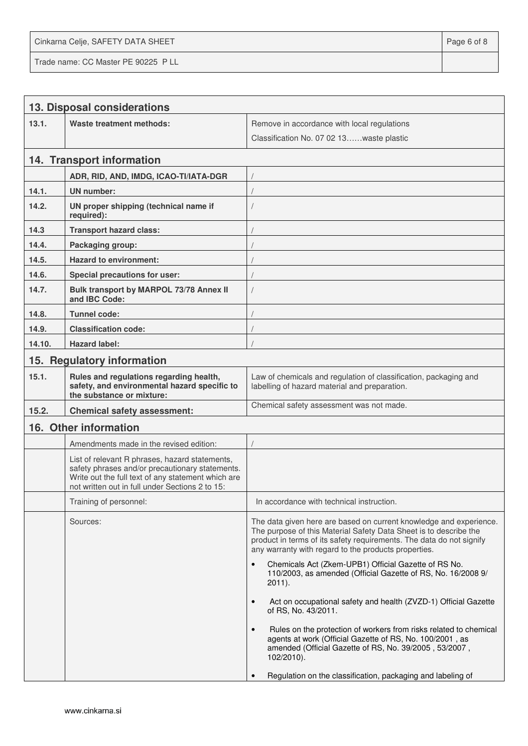Cinkarna Celje, SAFETY DATA SHEET **Page 6 of 8** and 2011 12 and 2012 12 and 2012 12 and 2012 12 and 2012 12 and 201

Trade name: CC Master PE 90225 P LL

|        | 13. Disposal considerations                                                                                                                                                                                |                                                                                                                                                                                                                                                                         |
|--------|------------------------------------------------------------------------------------------------------------------------------------------------------------------------------------------------------------|-------------------------------------------------------------------------------------------------------------------------------------------------------------------------------------------------------------------------------------------------------------------------|
| 13.1.  | <b>Waste treatment methods:</b>                                                                                                                                                                            | Remove in accordance with local regulations                                                                                                                                                                                                                             |
|        |                                                                                                                                                                                                            | Classification No. 07 02 13waste plastic                                                                                                                                                                                                                                |
|        | 14. Transport information                                                                                                                                                                                  |                                                                                                                                                                                                                                                                         |
|        | ADR, RID, AND, IMDG, ICAO-TI/IATA-DGR                                                                                                                                                                      |                                                                                                                                                                                                                                                                         |
| 14.1.  | <b>UN</b> number:                                                                                                                                                                                          |                                                                                                                                                                                                                                                                         |
| 14.2.  | UN proper shipping (technical name if<br>required):                                                                                                                                                        |                                                                                                                                                                                                                                                                         |
| 14.3   | <b>Transport hazard class:</b>                                                                                                                                                                             |                                                                                                                                                                                                                                                                         |
| 14.4.  | Packaging group:                                                                                                                                                                                           |                                                                                                                                                                                                                                                                         |
| 14.5.  | <b>Hazard to environment:</b>                                                                                                                                                                              |                                                                                                                                                                                                                                                                         |
| 14.6.  | <b>Special precautions for user:</b>                                                                                                                                                                       |                                                                                                                                                                                                                                                                         |
| 14.7.  | Bulk transport by MARPOL 73/78 Annex II<br>and IBC Code:                                                                                                                                                   |                                                                                                                                                                                                                                                                         |
| 14.8.  | <b>Tunnel code:</b>                                                                                                                                                                                        |                                                                                                                                                                                                                                                                         |
| 14.9.  | <b>Classification code:</b>                                                                                                                                                                                |                                                                                                                                                                                                                                                                         |
| 14.10. | <b>Hazard label:</b>                                                                                                                                                                                       |                                                                                                                                                                                                                                                                         |
|        | 15. Regulatory information                                                                                                                                                                                 |                                                                                                                                                                                                                                                                         |
| 15.1.  | Rules and regulations regarding health,<br>safety, and environmental hazard specific to<br>the substance or mixture:                                                                                       | Law of chemicals and regulation of classification, packaging and<br>labelling of hazard material and preparation.                                                                                                                                                       |
| 15.2.  | <b>Chemical safety assessment:</b>                                                                                                                                                                         | Chemical safety assessment was not made.                                                                                                                                                                                                                                |
|        | 16. Other information                                                                                                                                                                                      |                                                                                                                                                                                                                                                                         |
|        | Amendments made in the revised edition:                                                                                                                                                                    |                                                                                                                                                                                                                                                                         |
|        | List of relevant R phrases, hazard statements,<br>safety phrases and/or precautionary statements.<br>Write out the full text of any statement which are<br>not written out in full under Sections 2 to 15: |                                                                                                                                                                                                                                                                         |
|        | Training of personnel:                                                                                                                                                                                     | In accordance with technical instruction.                                                                                                                                                                                                                               |
|        | Sources:                                                                                                                                                                                                   | The data given here are based on current knowledge and experience.<br>The purpose of this Material Safety Data Sheet is to describe the<br>product in terms of its safety requirements. The data do not signify<br>any warranty with regard to the products properties. |
|        |                                                                                                                                                                                                            | Chemicals Act (Zkem-UPB1) Official Gazette of RS No.<br>$\bullet$<br>110/2003, as amended (Official Gazette of RS, No. 16/2008 9/<br>$2011$ ).                                                                                                                          |
|        |                                                                                                                                                                                                            | Act on occupational safety and health (ZVZD-1) Official Gazette<br>$\bullet$<br>of RS, No. 43/2011.                                                                                                                                                                     |
|        |                                                                                                                                                                                                            | Rules on the protection of workers from risks related to chemical<br>$\bullet$<br>agents at work (Official Gazette of RS, No. 100/2001, as<br>amended (Official Gazette of RS, No. 39/2005, 53/2007,<br>102/2010).                                                      |
|        |                                                                                                                                                                                                            | Regulation on the classification, packaging and labeling of                                                                                                                                                                                                             |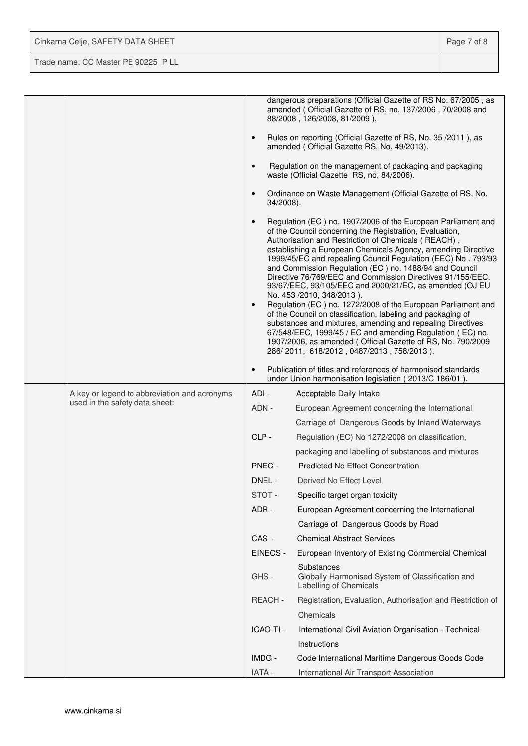Cinkarna Celje, SAFETY DATA SHEET **Page 7 of 8** 

Trade name: CC Master PE 90225 P LL

|                                              |                        | dangerous preparations (Official Gazette of RS No. 67/2005, as<br>amended (Official Gazette of RS, no. 137/2006, 70/2008 and<br>88/2008, 126/2008, 81/2009).                                                                                                                                                                                                                                                                                                                                                                                                                                                                                                                                                                                                                                                                                                                                         |
|----------------------------------------------|------------------------|------------------------------------------------------------------------------------------------------------------------------------------------------------------------------------------------------------------------------------------------------------------------------------------------------------------------------------------------------------------------------------------------------------------------------------------------------------------------------------------------------------------------------------------------------------------------------------------------------------------------------------------------------------------------------------------------------------------------------------------------------------------------------------------------------------------------------------------------------------------------------------------------------|
|                                              |                        | Rules on reporting (Official Gazette of RS, No. 35/2011), as<br>amended (Official Gazette RS, No. 49/2013).                                                                                                                                                                                                                                                                                                                                                                                                                                                                                                                                                                                                                                                                                                                                                                                          |
|                                              |                        | Regulation on the management of packaging and packaging<br>waste (Official Gazette RS, no. 84/2006).                                                                                                                                                                                                                                                                                                                                                                                                                                                                                                                                                                                                                                                                                                                                                                                                 |
|                                              | $\bullet$<br>34/2008). | Ordinance on Waste Management (Official Gazette of RS, No.                                                                                                                                                                                                                                                                                                                                                                                                                                                                                                                                                                                                                                                                                                                                                                                                                                           |
|                                              | $\bullet$              | Regulation (EC) no. 1907/2006 of the European Parliament and<br>of the Council concerning the Registration, Evaluation,<br>Authorisation and Restriction of Chemicals (REACH),<br>establishing a European Chemicals Agency, amending Directive<br>1999/45/EC and repealing Council Regulation (EEC) No. 793/93<br>and Commission Regulation (EC) no. 1488/94 and Council<br>Directive 76/769/EEC and Commission Directives 91/155/EEC,<br>93/67/EEC, 93/105/EEC and 2000/21/EC, as amended (OJ EU<br>No. 453 /2010, 348/2013).<br>Regulation (EC) no. 1272/2008 of the European Parliament and<br>of the Council on classification, labeling and packaging of<br>substances and mixtures, amending and repealing Directives<br>67/548/EEC, 1999/45 / EC and amending Regulation (EC) no.<br>1907/2006, as amended (Official Gazette of RS, No. 790/2009<br>286/2011, 618/2012, 0487/2013, 758/2013). |
|                                              | $\bullet$              | Publication of titles and references of harmonised standards<br>under Union harmonisation legislation (2013/C 186/01).                                                                                                                                                                                                                                                                                                                                                                                                                                                                                                                                                                                                                                                                                                                                                                               |
|                                              |                        |                                                                                                                                                                                                                                                                                                                                                                                                                                                                                                                                                                                                                                                                                                                                                                                                                                                                                                      |
| A key or legend to abbreviation and acronyms | ADI-                   | Acceptable Daily Intake                                                                                                                                                                                                                                                                                                                                                                                                                                                                                                                                                                                                                                                                                                                                                                                                                                                                              |
| used in the safety data sheet:               | ADN -                  | European Agreement concerning the International                                                                                                                                                                                                                                                                                                                                                                                                                                                                                                                                                                                                                                                                                                                                                                                                                                                      |
|                                              |                        | Carriage of Dangerous Goods by Inland Waterways                                                                                                                                                                                                                                                                                                                                                                                                                                                                                                                                                                                                                                                                                                                                                                                                                                                      |
|                                              | $CLP -$                | Regulation (EC) No 1272/2008 on classification,                                                                                                                                                                                                                                                                                                                                                                                                                                                                                                                                                                                                                                                                                                                                                                                                                                                      |
|                                              |                        | packaging and labelling of substances and mixtures                                                                                                                                                                                                                                                                                                                                                                                                                                                                                                                                                                                                                                                                                                                                                                                                                                                   |
|                                              | PNEC -                 | <b>Predicted No Effect Concentration</b>                                                                                                                                                                                                                                                                                                                                                                                                                                                                                                                                                                                                                                                                                                                                                                                                                                                             |
|                                              | DNEL -                 | Derived No Effect Level                                                                                                                                                                                                                                                                                                                                                                                                                                                                                                                                                                                                                                                                                                                                                                                                                                                                              |
|                                              | STOT-                  | Specific target organ toxicity                                                                                                                                                                                                                                                                                                                                                                                                                                                                                                                                                                                                                                                                                                                                                                                                                                                                       |
|                                              | ADR -                  | European Agreement concerning the International                                                                                                                                                                                                                                                                                                                                                                                                                                                                                                                                                                                                                                                                                                                                                                                                                                                      |
|                                              |                        | Carriage of Dangerous Goods by Road                                                                                                                                                                                                                                                                                                                                                                                                                                                                                                                                                                                                                                                                                                                                                                                                                                                                  |
|                                              | CAS -                  | <b>Chemical Abstract Services</b>                                                                                                                                                                                                                                                                                                                                                                                                                                                                                                                                                                                                                                                                                                                                                                                                                                                                    |
|                                              | EINECS -               | European Inventory of Existing Commercial Chemical                                                                                                                                                                                                                                                                                                                                                                                                                                                                                                                                                                                                                                                                                                                                                                                                                                                   |
|                                              | GHS-                   | Substances<br>Globally Harmonised System of Classification and<br>Labelling of Chemicals                                                                                                                                                                                                                                                                                                                                                                                                                                                                                                                                                                                                                                                                                                                                                                                                             |
|                                              | REACH -                | Registration, Evaluation, Authorisation and Restriction of                                                                                                                                                                                                                                                                                                                                                                                                                                                                                                                                                                                                                                                                                                                                                                                                                                           |
|                                              |                        | Chemicals                                                                                                                                                                                                                                                                                                                                                                                                                                                                                                                                                                                                                                                                                                                                                                                                                                                                                            |
|                                              | ICAO-TI -              | International Civil Aviation Organisation - Technical                                                                                                                                                                                                                                                                                                                                                                                                                                                                                                                                                                                                                                                                                                                                                                                                                                                |
|                                              |                        | Instructions                                                                                                                                                                                                                                                                                                                                                                                                                                                                                                                                                                                                                                                                                                                                                                                                                                                                                         |
|                                              | IMDG -                 | Code International Maritime Dangerous Goods Code                                                                                                                                                                                                                                                                                                                                                                                                                                                                                                                                                                                                                                                                                                                                                                                                                                                     |